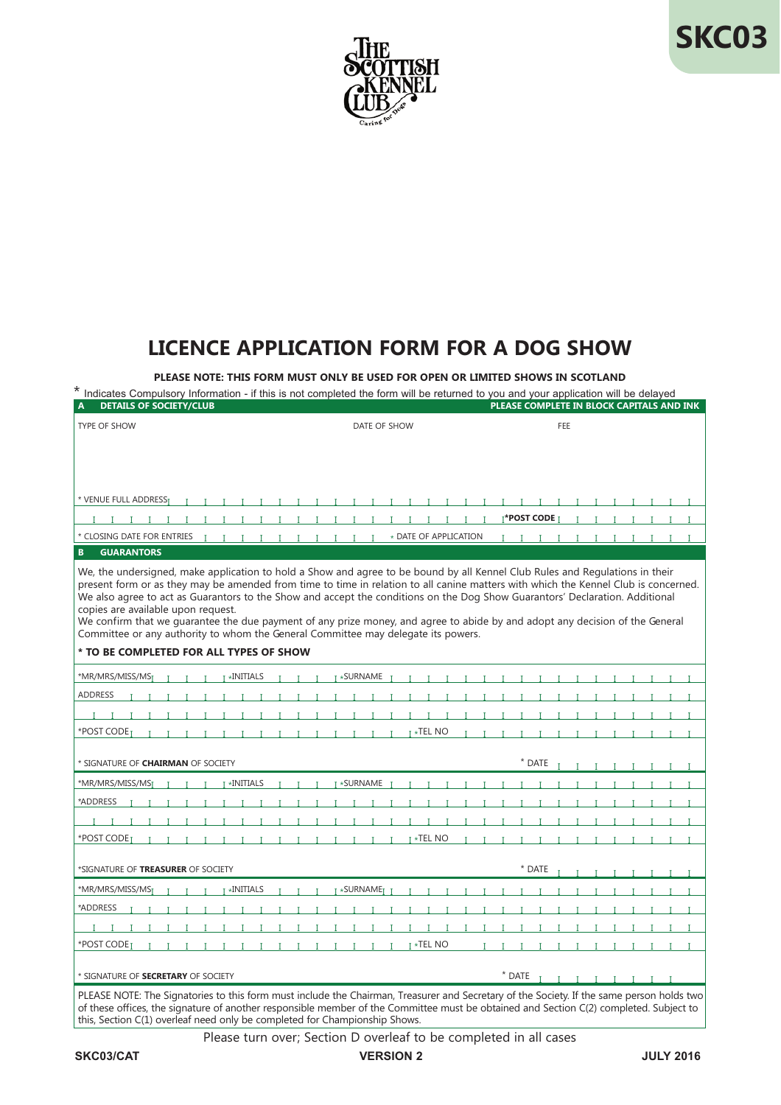

## **SKC03**

## **LICENCE APPLICATION FORM FOR A DOG SHOW**

**PLEASE NOTE: THIS FORM MUST ONLY BE USED FOR OPEN OR LIMITED SHOWS IN SCOTLAND**

| Indicates Compulsory Information - if this is not completed the form will be returned to you and your application will be delayed                                                                                                                                                                                                                                                                                                                                                                                                                                                                                                                                                                         |                                          |                                           |
|-----------------------------------------------------------------------------------------------------------------------------------------------------------------------------------------------------------------------------------------------------------------------------------------------------------------------------------------------------------------------------------------------------------------------------------------------------------------------------------------------------------------------------------------------------------------------------------------------------------------------------------------------------------------------------------------------------------|------------------------------------------|-------------------------------------------|
| <b>DETAILS OF SOCIETY/CLUB</b>                                                                                                                                                                                                                                                                                                                                                                                                                                                                                                                                                                                                                                                                            |                                          | PLEASE COMPLETE IN BLOCK CAPITALS AND INK |
| TYPE OF SHOW                                                                                                                                                                                                                                                                                                                                                                                                                                                                                                                                                                                                                                                                                              | DATE OF SHOW                             | FEE                                       |
| * VENUE FULL ADDRESST<br>* CLOSING DATE FOR ENTRIES<br>$I$ $I$ $I$ $I$ $I$<br>$\mathbf{I}$<br>$\top$<br>$\blacksquare$                                                                                                                                                                                                                                                                                                                                                                                                                                                                                                                                                                                    | * DATE OF APPLICATION                    | T*POST CODE <sub>T</sub><br>$\top$        |
| <b>GUARANTORS</b><br>B.                                                                                                                                                                                                                                                                                                                                                                                                                                                                                                                                                                                                                                                                                   |                                          |                                           |
| We, the undersigned, make application to hold a Show and agree to be bound by all Kennel Club Rules and Regulations in their<br>present form or as they may be amended from time to time in relation to all canine matters with which the Kennel Club is concerned.<br>We also agree to act as Guarantors to the Show and accept the conditions on the Dog Show Guarantors' Declaration. Additional<br>copies are available upon request.<br>We confirm that we guarantee the due payment of any prize money, and agree to abide by and adopt any decision of the General<br>Committee or any authority to whom the General Committee may delegate its powers.<br>* TO BE COMPLETED FOR ALL TYPES OF SHOW |                                          |                                           |
| *MR/MRS/MISS/MS <sub>I</sub><br>T *INITIALS                                                                                                                                                                                                                                                                                                                                                                                                                                                                                                                                                                                                                                                               | ⊺ ∗SURNAME                               |                                           |
| <b>ADDRESS</b>                                                                                                                                                                                                                                                                                                                                                                                                                                                                                                                                                                                                                                                                                            |                                          |                                           |
| $I$ $I$ $I$ $I$<br>Т.                                                                                                                                                                                                                                                                                                                                                                                                                                                                                                                                                                                                                                                                                     | $\mathbf{I}$<br>$\mathbf{I}$<br>л.<br>л. |                                           |
| *POST CODE <sub>T</sub><br>T T T T T T T T T<br>T.                                                                                                                                                                                                                                                                                                                                                                                                                                                                                                                                                                                                                                                        | $I^*$ TEL NO                             | $I$ $I$ $I$ $I$<br>$\mathbf{L}$           |
| * SIGNATURE OF CHAIRMAN OF SOCIETY                                                                                                                                                                                                                                                                                                                                                                                                                                                                                                                                                                                                                                                                        |                                          | $*$ DATE                                  |
| $I * INITIALS$<br>*MR/MRS/MISS/MS <sub>I</sub>                                                                                                                                                                                                                                                                                                                                                                                                                                                                                                                                                                                                                                                            | III <sup>*</sup> SURNAMEIIIIIIIIII       | $\mathbf{I}$<br>$\mathbf{I}$              |
| *ADDRESS                                                                                                                                                                                                                                                                                                                                                                                                                                                                                                                                                                                                                                                                                                  |                                          |                                           |
|                                                                                                                                                                                                                                                                                                                                                                                                                                                                                                                                                                                                                                                                                                           |                                          |                                           |
| $I - I - I - I$                                                                                                                                                                                                                                                                                                                                                                                                                                                                                                                                                                                                                                                                                           |                                          |                                           |
| *POST CODE <sub>T</sub><br>1 1 1 1 1 1 1<br>$\mathbf{I}$                                                                                                                                                                                                                                                                                                                                                                                                                                                                                                                                                                                                                                                  | $I^*$ TEL NO                             | $\mathbf{I}$                              |
| *SIGNATURE OF TREASURER OF SOCIETY                                                                                                                                                                                                                                                                                                                                                                                                                                                                                                                                                                                                                                                                        |                                          | * DATE                                    |
| *MR/MRS/MISS/MS <sub>I</sub><br>$I * INITIALS$                                                                                                                                                                                                                                                                                                                                                                                                                                                                                                                                                                                                                                                            | T *SURNAMET T<br>$\blacksquare$          |                                           |
| *ADDRESS                                                                                                                                                                                                                                                                                                                                                                                                                                                                                                                                                                                                                                                                                                  |                                          |                                           |
| $\mathbf{I}$<br>$\mathbf{I}$ $\mathbf{I}$                                                                                                                                                                                                                                                                                                                                                                                                                                                                                                                                                                                                                                                                 | $I-I$<br>$\blacksquare$                  |                                           |
| *POST CODE <sub>T</sub><br>$\mathbf{I}$                                                                                                                                                                                                                                                                                                                                                                                                                                                                                                                                                                                                                                                                   | T *TEL NO<br>$\mathbf{L}$                |                                           |
| * SIGNATURE OF SECRETARY OF SOCIETY                                                                                                                                                                                                                                                                                                                                                                                                                                                                                                                                                                                                                                                                       |                                          | * DATE<br>111111111                       |
| PLEASE NOTE: The Signatories to this form must include the Chairman, Treasurer and Secretary of the Society. If the same person holds two<br>of these offices, the signature of another responsible member of the Committee must be obtained and Section C(2) completed. Subject to                                                                                                                                                                                                                                                                                                                                                                                                                       |                                          |                                           |

Please turn over; Section D overleaf to be completed in all cases

this, Section C(1) overleaf need only be completed for Championship Shows.